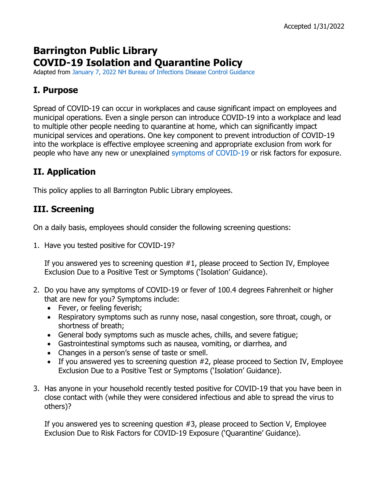# **Barrington Public Library COVID-19 Isolation and Quarantine Policy**

Adapted from January 7, 2022 NH Bureau of Infections Disease Control Guidance

## **I. Purpose**

Spread of COVID-19 can occur in workplaces and cause significant impact on employees and municipal operations. Even a single person can introduce COVID-19 into a workplace and lead to multiple other people needing to quarantine at home, which can significantly impact municipal services and operations. One key component to prevent introduction of COVID-19 into the workplace is effective employee screening and appropriate exclusion from work for people who have any new or unexplained symptoms of COVID-19 or risk factors for exposure.

# **II. Application**

This policy applies to all Barrington Public Library employees.

## **III. Screening**

On a daily basis, employees should consider the following screening questions:

1. Have you tested positive for COVID-19?

If you answered yes to screening question #1, please proceed to Section IV, Employee Exclusion Due to a Positive Test or Symptoms ('Isolation' Guidance).

- 2. Do you have any symptoms of COVID-19 or fever of 100.4 degrees Fahrenheit or higher that are new for you? Symptoms include:
	- Fever, or feeling feverish;
	- Respiratory symptoms such as runny nose, nasal congestion, sore throat, cough, or shortness of breath;
	- General body symptoms such as muscle aches, chills, and severe fatigue;
	- Gastrointestinal symptoms such as nausea, vomiting, or diarrhea, and
	- Changes in a person's sense of taste or smell.
	- If you answered yes to screening question #2, please proceed to Section IV, Employee Exclusion Due to a Positive Test or Symptoms ('Isolation' Guidance).
- 3. Has anyone in your household recently tested positive for COVID-19 that you have been in close contact with (while they were considered infectious and able to spread the virus to others)?

If you answered yes to screening question #3, please proceed to Section V, Employee Exclusion Due to Risk Factors for COVID-19 Exposure ('Quarantine' Guidance).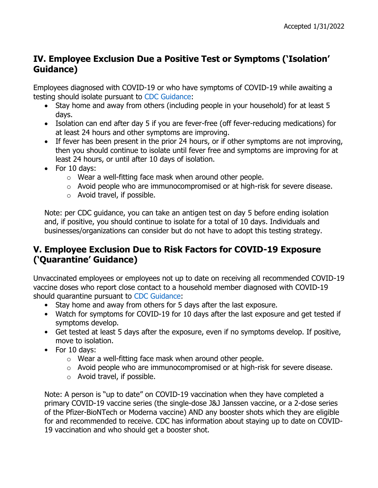## **IV. Employee Exclusion Due a Positive Test or Symptoms ('Isolation' Guidance)**

Employees diagnosed with COVID-19 or who have symptoms of COVID-19 while awaiting a testing should isolate pursuant to CDC Guidance:

- Stay home and away from others (including people in your household) for at least 5 days.
- Isolation can end after day 5 if you are fever-free (off fever-reducing medications) for at least 24 hours and other symptoms are improving.
- If fever has been present in the prior 24 hours, or if other symptoms are not improving, then you should continue to isolate until fever free and symptoms are improving for at least 24 hours, or until after 10 days of isolation.
- For 10 days:
	- o Wear a well-fitting face mask when around other people.
	- o Avoid people who are immunocompromised or at high-risk for severe disease.
	- o Avoid travel, if possible.

Note: per CDC guidance, you can take an antigen test on day 5 before ending isolation and, if positive, you should continue to isolate for a total of 10 days. Individuals and businesses/organizations can consider but do not have to adopt this testing strategy.

## **V. Employee Exclusion Due to Risk Factors for COVID-19 Exposure ('Quarantine' Guidance)**

Unvaccinated employees or employees not up to date on receiving all recommended COVID-19 vaccine doses who report close contact to a household member diagnosed with COVID-19 should quarantine pursuant to CDC Guidance:

- Stay home and away from others for 5 days after the last exposure.
- Watch for symptoms for COVID-19 for 10 days after the last exposure and get tested if symptoms develop.
- Get tested at least 5 days after the exposure, even if no symptoms develop. If positive, move to isolation.
- For 10 days:
	- o Wear a well-fitting face mask when around other people.
	- o Avoid people who are immunocompromised or at high-risk for severe disease.
	- o Avoid travel, if possible.

Note: A person is "up to date" on COVID-19 vaccination when they have completed a primary COVID-19 vaccine series (the single-dose J&J Janssen vaccine, or a 2-dose series of the Pfizer-BioNTech or Moderna vaccine) AND any booster shots which they are eligible for and recommended to receive. CDC has information about staying up to date on COVID-19 vaccination and who should get a booster shot.